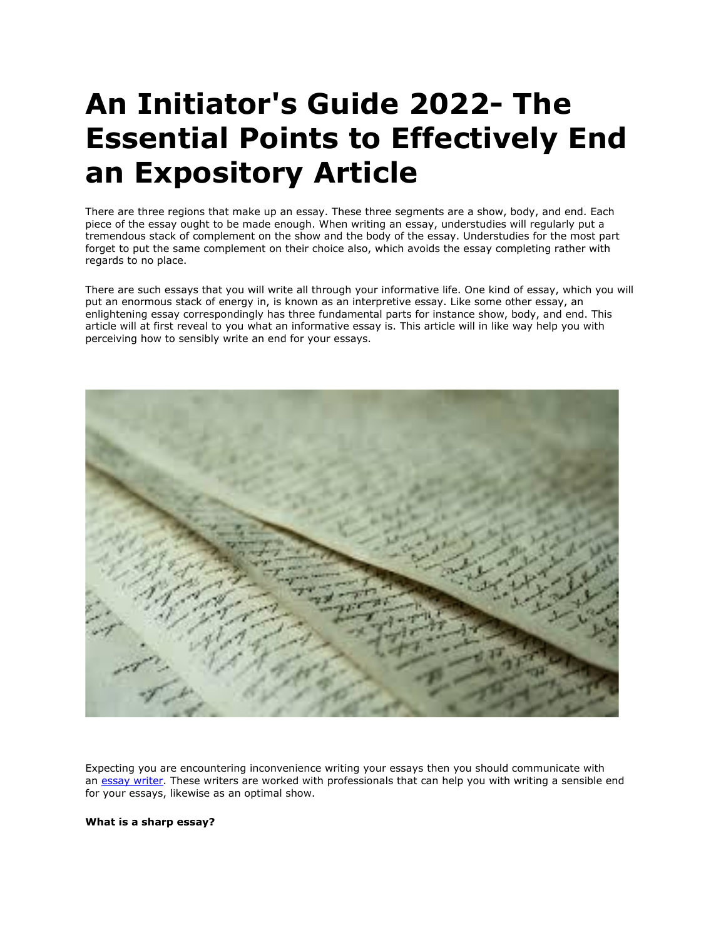## **An Initiator's Guide 2022- The Essential Points to Effectively End an Expository Article**

There are three regions that make up an essay. These three segments are a show, body, and end. Each piece of the essay ought to be made enough. When writing an essay, understudies will regularly put a tremendous stack of complement on the show and the body of the essay. Understudies for the most part forget to put the same complement on their choice also, which avoids the essay completing rather with regards to no place.

There are such essays that you will write all through your informative life. One kind of essay, which you will put an enormous stack of energy in, is known as an interpretive essay. Like some other essay, an enlightening essay correspondingly has three fundamental parts for instance show, body, and end. This article will at first reveal to you what an informative essay is. This article will in like way help you with perceiving how to sensibly write an end for your essays.



Expecting you are encountering inconvenience writing your essays then you should communicate with an [essay writer.](https://essaywriternow.com/) These writers are worked with professionals that can help you with writing a sensible end for your essays, likewise as an optimal show.

## **What is a sharp essay?**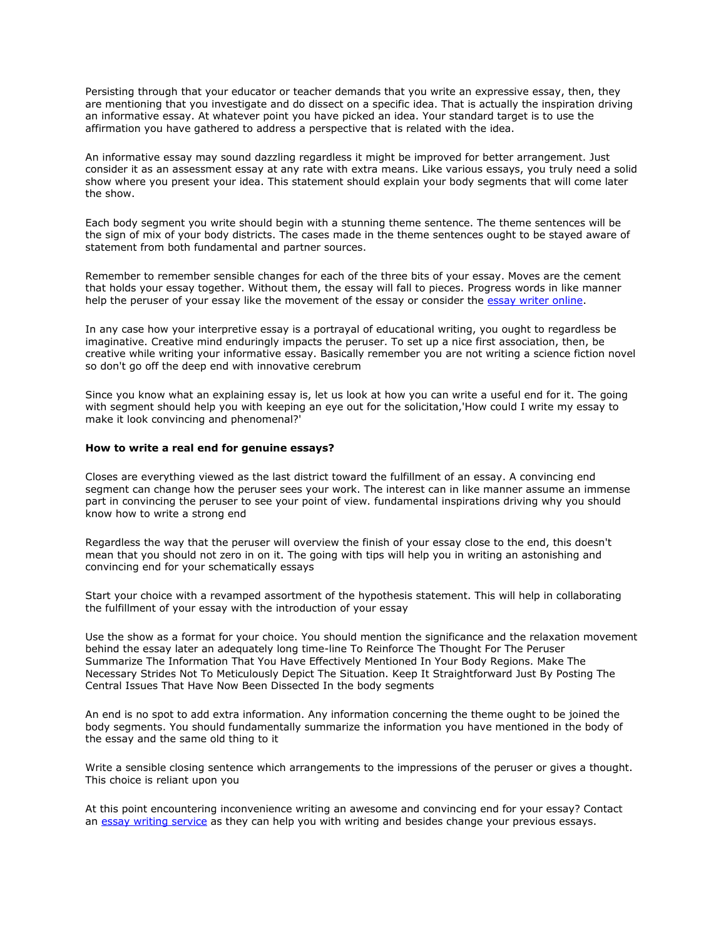Persisting through that your educator or teacher demands that you write an expressive essay, then, they are mentioning that you investigate and do dissect on a specific idea. That is actually the inspiration driving an informative essay. At whatever point you have picked an idea. Your standard target is to use the affirmation you have gathered to address a perspective that is related with the idea.

An informative essay may sound dazzling regardless it might be improved for better arrangement. Just consider it as an assessment essay at any rate with extra means. Like various essays, you truly need a solid show where you present your idea. This statement should explain your body segments that will come later the show.

Each body segment you write should begin with a stunning theme sentence. The theme sentences will be the sign of mix of your body districts. The cases made in the theme sentences ought to be stayed aware of statement from both fundamental and partner sources.

Remember to remember sensible changes for each of the three bits of your essay. Moves are the cement that holds your essay together. Without them, the essay will fall to pieces. Progress words in like manner help the peruser of your essay like the movement of the essay or consider the [essay writer online.](https://youressaywriter.net/)

In any case how your interpretive essay is a portrayal of educational writing, you ought to regardless be imaginative. Creative mind enduringly impacts the peruser. To set up a nice first association, then, be creative while writing your informative essay. Basically remember you are not writing a science fiction novel so don't go off the deep end with innovative cerebrum

Since you know what an explaining essay is, let us look at how you can write a useful end for it. The going with segment should help you with keeping an eye out for the solicitation,'How could I write my essay to make it look convincing and phenomenal?'

## **How to write a real end for genuine essays?**

Closes are everything viewed as the last district toward the fulfillment of an essay. A convincing end segment can change how the peruser sees your work. The interest can in like manner assume an immense part in convincing the peruser to see your point of view. fundamental inspirations driving why you should know how to write a strong end

Regardless the way that the peruser will overview the finish of your essay close to the end, this doesn't mean that you should not zero in on it. The going with tips will help you in writing an astonishing and convincing end for your schematically essays

Start your choice with a revamped assortment of the hypothesis statement. This will help in collaborating the fulfillment of your essay with the introduction of your essay

Use the show as a format for your choice. You should mention the significance and the relaxation movement behind the essay later an adequately long time-line To Reinforce The Thought For The Peruser Summarize The Information That You Have Effectively Mentioned In Your Body Regions. Make The Necessary Strides Not To Meticulously Depict The Situation. Keep It Straightforward Just By Posting The Central Issues That Have Now Been Dissected In the body segments

An end is no spot to add extra information. Any information concerning the theme ought to be joined the body segments. You should fundamentally summarize the information you have mentioned in the body of the essay and the same old thing to it

Write a sensible closing sentence which arrangements to the impressions of the peruser or gives a thought. This choice is reliant upon you

At this point encountering inconvenience writing an awesome and convincing end for your essay? Contact an [essay writing service](https://theessaywritingservice.com/) as they can help you with writing and besides change your previous essays.